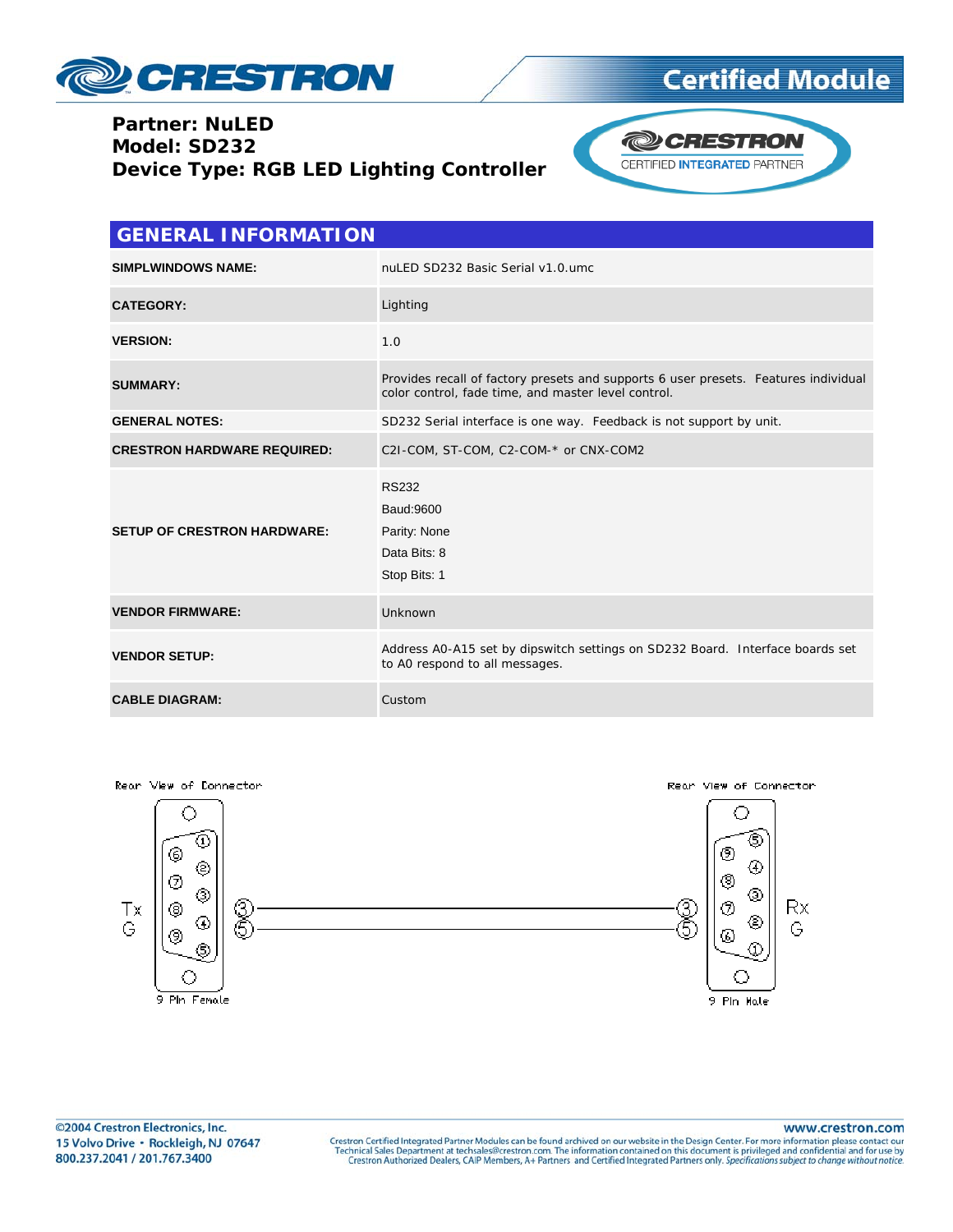

#### **Partner: NuLED** Model: SD232 Device Type: RGB LED Lighting Controller



| <b>GENERAL INFORMATION</b>         |                                                                                                                                            |  |
|------------------------------------|--------------------------------------------------------------------------------------------------------------------------------------------|--|
| <b>SIMPLWINDOWS NAME:</b>          | nuLED SD232 Basic Serial v1.0.umc                                                                                                          |  |
| <b>CATEGORY:</b>                   | Lighting                                                                                                                                   |  |
| <b>VERSION:</b>                    | 1.0                                                                                                                                        |  |
| <b>SUMMARY:</b>                    | Provides recall of factory presets and supports 6 user presets. Features individual<br>color control, fade time, and master level control. |  |
| <b>GENERAL NOTES:</b>              | SD232 Serial interface is one way. Feedback is not support by unit.                                                                        |  |
| <b>CRESTRON HARDWARE REQUIRED:</b> | C2I-COM, ST-COM, C2-COM-* or CNX-COM2                                                                                                      |  |
| <b>SETUP OF CRESTRON HARDWARE:</b> | <b>RS232</b><br>Baud: 9600<br>Parity: None<br>Data Bits: 8<br>Stop Bits: 1                                                                 |  |
| <b>VENDOR FIRMWARE:</b>            | Unknown                                                                                                                                    |  |
| <b>VENDOR SETUP:</b>               | Address AO-A15 set by dipswitch settings on SD232 Board. Interface boards set<br>to A0 respond to all messages.                            |  |
| <b>CABLE DIAGRAM:</b>              | Custom                                                                                                                                     |  |



©2004 Crestron Electronics, Inc. 15 Volvo Drive · Rockleigh, NJ 07647 800.237.2041 / 201.767.3400

www.crestron.com

Crestron Certified Integrated Partner Modules can be found archived on our website in the Design Center. For more information please contact our Technical Sales Department at techsales@crestron.com. The information contain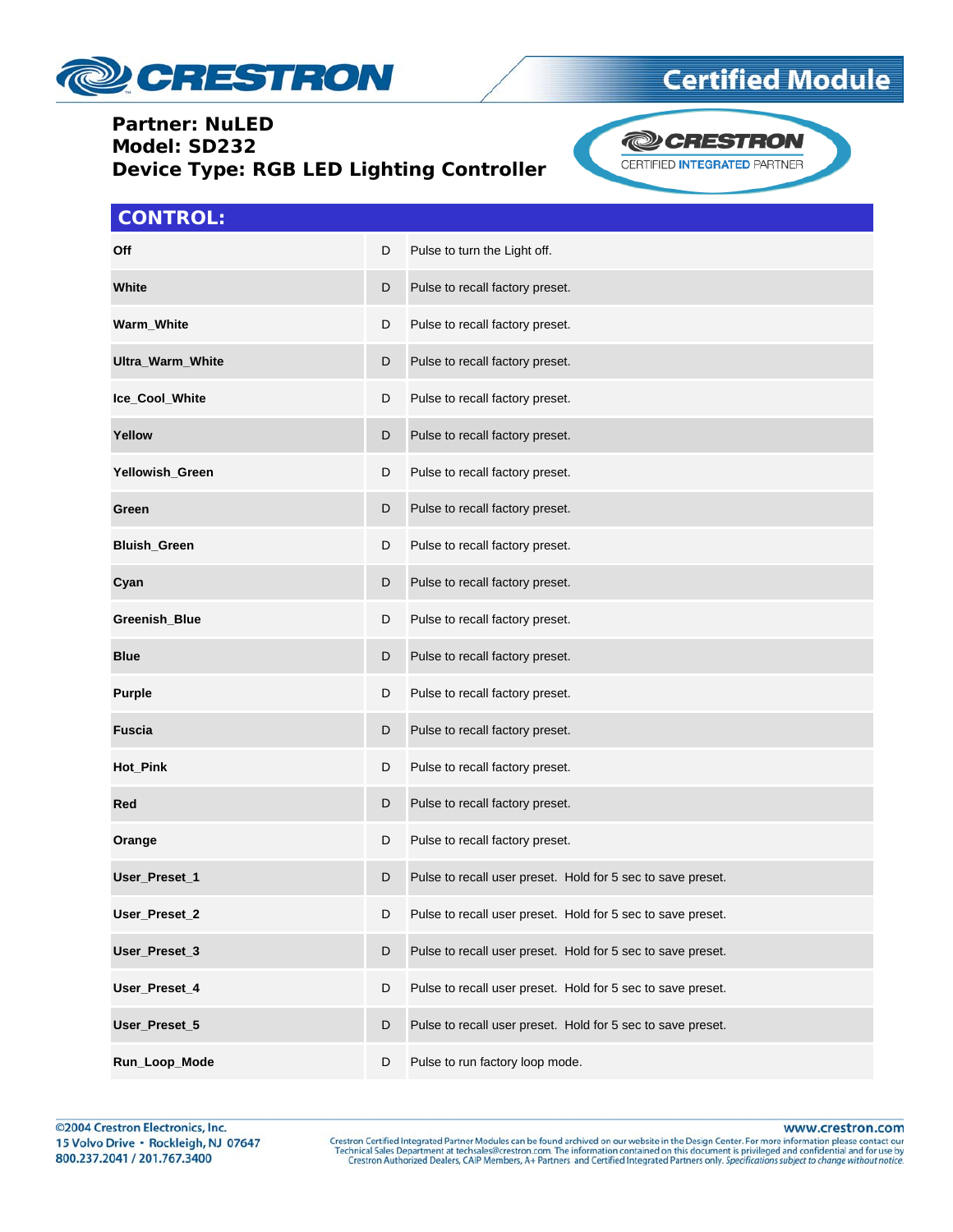

### **Partner: NuLED Model: SD232 Device Type: RGB LED Lighting Controller**



### **CONTROL:**

| <b>Off</b>           | D | Pulse to turn the Light off.                                |
|----------------------|---|-------------------------------------------------------------|
| White                | D | Pulse to recall factory preset.                             |
| Warm_White           | D | Pulse to recall factory preset.                             |
| Ultra_Warm_White     | D | Pulse to recall factory preset.                             |
| Ice_Cool_White       | D | Pulse to recall factory preset.                             |
| Yellow               | D | Pulse to recall factory preset.                             |
| Yellowish_Green      | D | Pulse to recall factory preset.                             |
| Green                | D | Pulse to recall factory preset.                             |
| <b>Bluish_Green</b>  | D | Pulse to recall factory preset.                             |
| Cyan                 | D | Pulse to recall factory preset.                             |
| <b>Greenish Blue</b> | D | Pulse to recall factory preset.                             |
| <b>Blue</b>          | D | Pulse to recall factory preset.                             |
| <b>Purple</b>        | D | Pulse to recall factory preset.                             |
| <b>Fuscia</b>        | D | Pulse to recall factory preset.                             |
| Hot_Pink             | D | Pulse to recall factory preset.                             |
| Red                  | D | Pulse to recall factory preset.                             |
| Orange               | D | Pulse to recall factory preset.                             |
| User_Preset_1        | D | Pulse to recall user preset. Hold for 5 sec to save preset. |
| User_Preset_2        | D | Pulse to recall user preset. Hold for 5 sec to save preset. |
| User_Preset_3        | D | Pulse to recall user preset. Hold for 5 sec to save preset. |
| User_Preset_4        | D | Pulse to recall user preset. Hold for 5 sec to save preset. |
| User_Preset_5        | D | Pulse to recall user preset. Hold for 5 sec to save preset. |
| Run_Loop_Mode        | D | Pulse to run factory loop mode.                             |

www.crestron.com

Crestron Certified Integrated Partner Modules can be found archived on our website in the Design Center. For more information please contact our Technical Sales Department at techsales@crestron.com. The information contain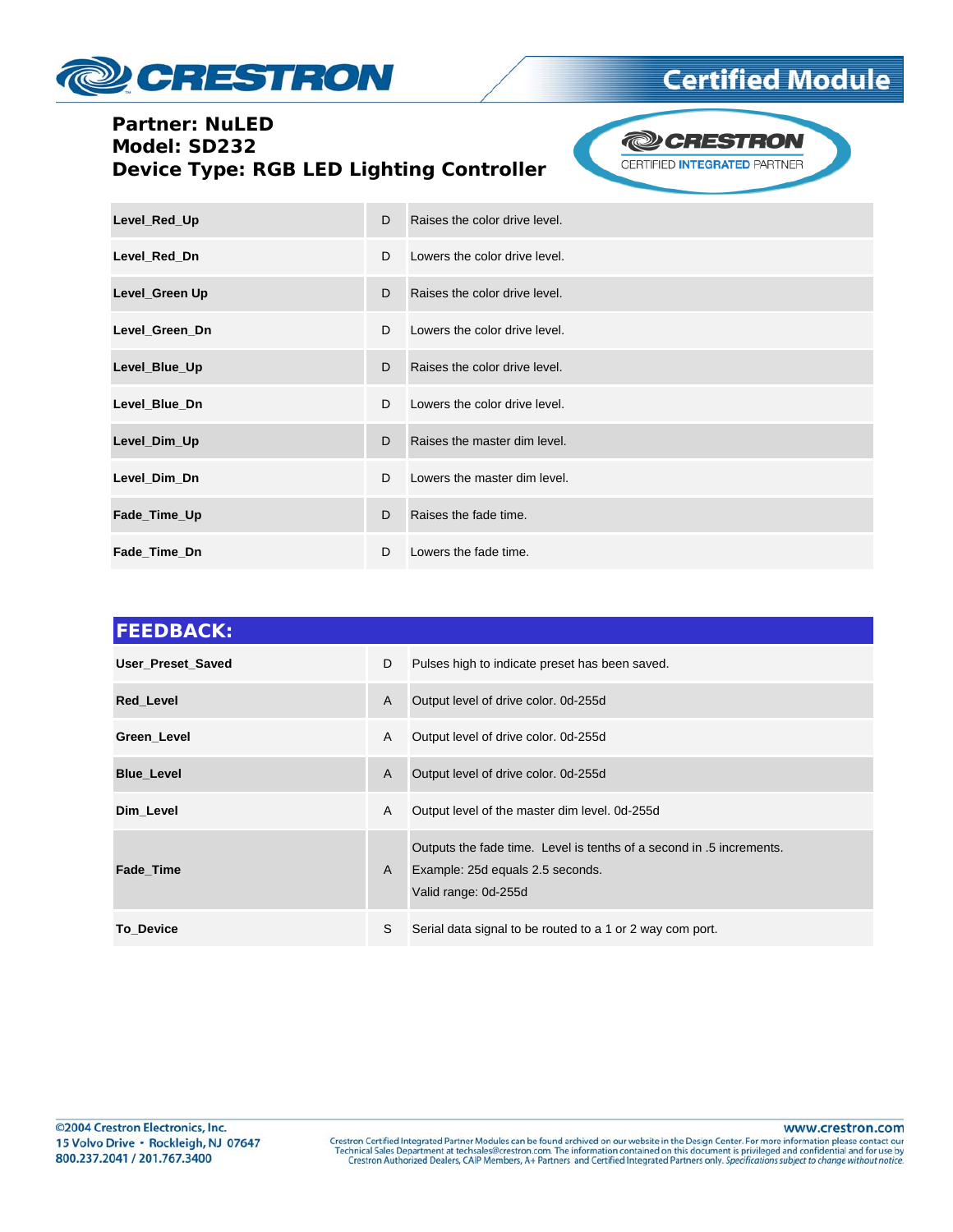

## **Partner: NuLED** Model: SD232 Device Type: RGB LED Lighting Controller



| Level_Red_Up   | D | Raises the color drive level. |
|----------------|---|-------------------------------|
| Level_Red_Dn   | D | Lowers the color drive level. |
| Level_Green Up | D | Raises the color drive level. |
| Level Green Dn | D | Lowers the color drive level. |
| Level_Blue_Up  | D | Raises the color drive level. |
| Level_Blue_Dn  | D | Lowers the color drive level. |
| Level_Dim_Up   | D | Raises the master dim level.  |
| Level_Dim_Dn   | D | Lowers the master dim level.  |
| Fade_Time_Up   | D | Raises the fade time.         |
| Fade_Time_Dn   | D | Lowers the fade time.         |

| <b>FEEDBACK:</b>         |   |                                                                                                                                  |  |
|--------------------------|---|----------------------------------------------------------------------------------------------------------------------------------|--|
| <b>User Preset Saved</b> | D | Pulses high to indicate preset has been saved.                                                                                   |  |
| <b>Red Level</b>         | A | Output level of drive color. 0d-255d                                                                                             |  |
| Green_Level              | A | Output level of drive color. 0d-255d                                                                                             |  |
| <b>Blue Level</b>        | A | Output level of drive color. 0d-255d                                                                                             |  |
| Dim Level                | A | Output level of the master dim level. 0d-255d                                                                                    |  |
| <b>Fade Time</b>         | A | Outputs the fade time. Level is tenths of a second in .5 increments.<br>Example: 25d equals 2.5 seconds.<br>Valid range: 0d-255d |  |
| <b>To Device</b>         | S | Serial data signal to be routed to a 1 or 2 way com port.                                                                        |  |

www.crestron.com

Crestron Certified Integrated Partner Modules can be found archived on our website in the Design Center. For more information please contact our Technical Sales Department at techsales@crestron.com. The information contain